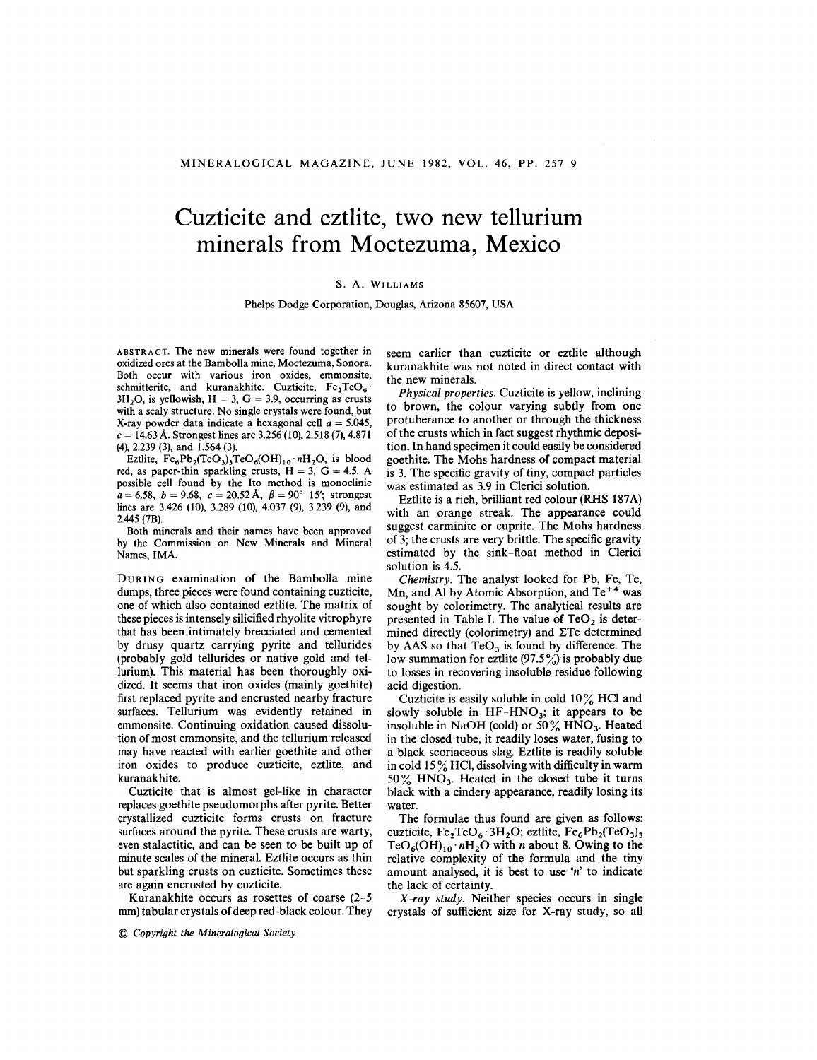## **Cuzticite and eztlite, two new tellurium minerals from Moctezuma, Mexico**

## S. A. WILLIAMS

Phelps Dodge Corporation, Douglas, Arizona 85607, USA

ABSTRACT. The new minerals were found together in oxidized ores at the Bambolla mine, Moctezuma, Sonora. Both occur with various iron oxides, emmonsite, schmitterite, and kuranakhite. Cuzticite,  $Fe<sub>2</sub>TeO<sub>6</sub>$ .  $3H<sub>2</sub>O$ , is yellowish,  $H = 3$ ,  $G = 3.9$ , occurring as crusts with a scaly structure. No single crystals were found, but X-ray powder data indicate a hexagonal cell  $a = 5.045$ ,  $c = 14.63$  Å. Strongest lines are 3.256 (10), 2.518 (7), 4.871 (4), 2.239 (3), and 1.564 (3).

Eztlite,  $Fe_6Pb_2(TeO_3)_3TeO_6(OH)_{10} \cdot nH_2O$ , is blood red, as paper-thin sparkling crusts,  $H = 3$ ,  $G = 4.5$ . A possible cell found by the Ito method is monoclinic  $a = 6.58$ ,  $b = 9.68$ ,  $c = 20.52$  A,  $\beta = 90^{\circ}$  15'; strongest lines are 3.426 (10), 3.289 (10), 4.037 (9), 3.239 (9), and 2.445 (7B).

Both minerals and their names have been approved by the Commission on New Minerals and Mineral Names, IMA.

DURING examination of the Bambolla mine dumps, three pieces were found containing cuzticite, one of which also contained eztlite. The matrix of these pieces is intensely silicified rhyolite vitrophyre that has been intimately brecciated and cemented by drusy quartz carrying pyrite and tellurides (probably gold tellurides or native gold and tellurium). This material has been thoroughly oxidized. It seems that iron oxides (mainly goethite) first replaced pyrite and encrusted nearby fracture surfaces. Tellurium was evidently retained in emmonsite. Continuing oxidation caused dissolution of most emmonsite, and the tellurium released may have reacted with earlier goethite and other iron oxides to produce cuzticite, eztlite, and kuranakhite.

Cuzticite that is almost gel-like in character replaces goethite pseudomorphs after pyrite. Better crystallized cuzticite forms crusts on fracture surfaces around the pyrite. These crusts are warty, even stalactitic, and can be seen to be built up of minute scales of the mineral. Eztlite occurs as thin but sparkling crusts on cuzticite. Sometimes these are again encrusted by cuzticite.

Kuranakhite occurs as rosettes of coarse (2-5 mm) tabular crystals of deep red-black colour. They

@ *Copyright the Mineralogical Society*

seem earlier than cuzticite or eztlite although kuranakhite was not noted in direct contact with the new minerals.

*Physical properties.* Cuzticite is yellow, inclining to brown, the colour varying subtly from one protuberance to another or through the thickness of the crusts which in fact suggest rhythmic deposition. In hand specimen it could easily be considered goethite. The Mohs hardness of compact material is 3. The specific gravity of tiny, compact particles was estimated as 3.9 in Clerici solution.

Eztlite is a rich, brilliant red colour (RHS 187A) with an orange streak. The appearance could suggest carminite or cuprite. The Mohs hardness of 3; the crusts are very brittle. The specific gravity estimated by the sink-float method in Clerici solution is 4.5.

*Chemistry.* The analyst looked for Pb, Fe, Te, Mn, and Al by Atomic Absorption, and Te<sup>+4</sup> was sought by colorimetry. The analytical results are presented in Table I. The value of  $TeO<sub>2</sub>$  is determined directly (colorimetry) and  $\Sigma$ Te determined by AAS so that  $TeO<sub>3</sub>$  is found by difference. The low summation for eztlite  $(97.5\%)$  is probably due to losses in recovering insoluble residue following acid digestion.

Cuzticite is easily soluble in cold 10% HCI and slowly soluble in  $HF-HNO_3$ ; it appears to be insoluble in NaOH (cold) or  $50\%$  HNO<sub>3</sub>. Heated in the closed tube, it readily loses water, fusing to a black scoriaceous slag. Eztlite is readily soluble in cold  $15\%$  HCl, dissolving with difficulty in warm  $50\%$  HNO<sub>3</sub>. Heated in the closed tube it turns black with a cindery appearance, readily losing its water.

The formulae thus found are given as follows: cuzticite,  $Fe<sub>2</sub>TeO<sub>6</sub>·3H<sub>2</sub>O$ ; eztlite,  $Fe<sub>6</sub>Pb<sub>2</sub>(TeO<sub>3</sub>)<sub>3</sub>$ TeO<sub>6</sub>(OH)<sub>10</sub>  $nH_2O$  with *n* about 8. Owing to the relative complexity of the formula and the tiny amount analysed, it is best to use 'n' to indicate the lack of certainty.

*X-ray study.* Neither species occurs in single crystals of sufficient size for X-ray study, so all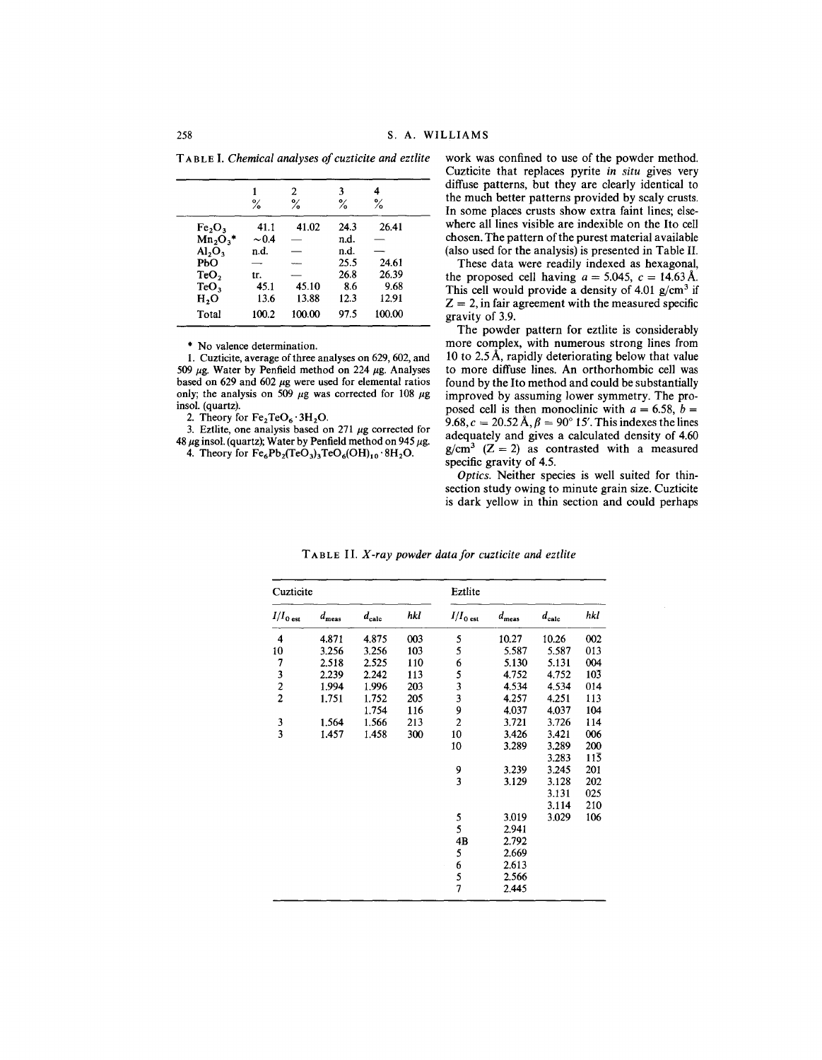T ABLE I. *Chemicalanalysesof cuzticite and eztlite*

|                                | ℅          | 2<br>℅ | 3<br>℅ | 4<br>℅ |  |
|--------------------------------|------------|--------|--------|--------|--|
| Fe <sub>2</sub> O <sub>3</sub> | 41.1       | 41.02  | 24.3   | 26.41  |  |
| $Mn2O3$ *                      | $\sim 0.4$ |        | n.d.   |        |  |
| Al <sub>2</sub> O <sub>3</sub> | n.d.       |        | n.d.   |        |  |
| РЬО                            |            |        | 25.5   | 24.61  |  |
| TeO,                           | tr.        |        | 26.8   | 26.39  |  |
| TeO <sub>3</sub>               | 45.1       | 45.10  | 8.6    | 9.68   |  |
| H,O                            | 13.6       | 13.88  | 12.3   | 12.91  |  |
| Total                          | 100.2      | 100.00 | 97.5   | 100.00 |  |
|                                |            |        |        |        |  |

\* No valence determination.

1. Cuzticite, average of three analyses on 629, 602, and 509 μg. Water by Penfield method on 224 μg. Analyses based on 629 and 602  $\mu$ g were used for elemental ratios only; the analysis on  $509 \mu g$  was corrected for 108  $\mu g$ . insol. (quartz).

2. Theory for  $Fe<sub>2</sub>TeO<sub>6</sub> \cdot 3H<sub>2</sub>O$ .

3. Eztlite, one analysis based on 271  $\mu$ g corrected for 48  $\mu$ g insol. (quartz); Water by Penfield method on 945  $\mu$ g.

4. Theory for  $Fe_6Pb_2(TeO_3)_3TeO_6(OH)_{10}\cdot 8H_2O$ .

work was confined to use of the powder method. Cuzticite that replaces pyrite *in situ* gives very diffuse patterns, but they are clearly identical to the much better patterns provided by scaly crusts. In some places crusts show extra faint lines; elsewhere all lines visible are indexible on the Ito cell chosen. The pattern of the purest material available (also used for the analysis) is presented in Table II.

These data were readily indexed as hexagonal, the proposed cell having  $a = 5.045$ ,  $c = 14.63$  A. This cell would provide a density of 4.01  $g/cm^3$  if  $Z = 2$ , in fair agreement with the measured specific gravity of 3.9.

The powder pattern for eztlite is considerably more complex, with numerous strong lines from 10 to 2.5  $\hat{A}$ , rapidly deteriorating below that value to more diffuse lines. An orthorhombic cell was found by the Ito method and could be substantially improved by assuming lower symmetry. The proposed cell is then monoclinic with  $a = 6.58$ ,  $b =$ 9.68,  $c = 20.52$  Å,  $\beta = 90^{\circ}$  15'. This indexes the lines adequately and gives a calculated density of 4.60  $g/cm^3$  (Z = 2) as contrasted with a measured specific gravity of 4.5.

*Optics.* Neither species is well suited for thinsection study owing to minute grain size. Cuzticite is dark yellow in thin section and could perhaps

| Cuzticite                                       |                |                   | Eztlite       |                         |                |                |     |
|-------------------------------------------------|----------------|-------------------|---------------|-------------------------|----------------|----------------|-----|
| $I/I_0$ est                                     | $d_{\rm meas}$ | $d_{\text{calc}}$ | hkl           | $I/I_{0\;\rm est}$      | $d_{\rm meas}$ | $d_{\rm calc}$ | hkl |
| 4                                               | 4.871          | 4.875             | 003           | 5                       | 10.27          | 10.26          | 002 |
| 10                                              | 3.256          | 3.256             | 103           | 5                       | 5.587          | 5.587          | 013 |
|                                                 | 2.518          | 2.525             | 110           |                         | 5.130          | 5.131          | 004 |
| $\begin{array}{c} 7 \\ 3 \\ 2 \\ 2 \end{array}$ | 2.239          | 2.242             | 113           | 653                     | 4.752          | 4.752          | 103 |
|                                                 | 1.994          | 1.996             | 203           |                         | 4.534          | 4.534          | 014 |
|                                                 | 1.751          | 1.752             | 205           |                         | 4.257          | 4.251          | 113 |
|                                                 |                | 1.754             | 116           | 9                       | 4.037          | 4.037          | 104 |
| $\frac{3}{3}$                                   | 1.564          | 1.566             | 213           | $\overline{\mathbf{c}}$ | 3.721          | 3.726          | 114 |
|                                                 | 1.457          | 1.458             | 300           | 10                      | 3.426          | 3.421          | 006 |
|                                                 |                |                   |               | 10                      | 3.289          | 3.289          | 200 |
|                                                 |                |                   |               |                         |                | 3.283          | 113 |
|                                                 |                |                   |               | 9<br>3                  | 3.239          | 3.245          | 201 |
|                                                 |                |                   |               |                         | 3.129          | 3.128          | 202 |
|                                                 |                |                   |               |                         |                | 3.131          | 025 |
|                                                 |                |                   |               |                         |                | 3.114          | 210 |
|                                                 |                |                   | $\frac{5}{5}$ | 3.019                   | 3.029          | 106            |     |
|                                                 |                |                   |               | 2.941                   |                |                |     |
|                                                 |                |                   |               | 4B                      | 2.792          |                |     |
|                                                 |                |                   |               | 5                       | 2.669          |                |     |
|                                                 |                |                   |               | 6                       | 2.613          |                |     |
|                                                 |                |                   |               | $\frac{5}{7}$           | 2.566          |                |     |
|                                                 |                |                   |               |                         | 2.445          |                |     |

T ABLE II. *X-ray powder data for cuzticite and eztlite*